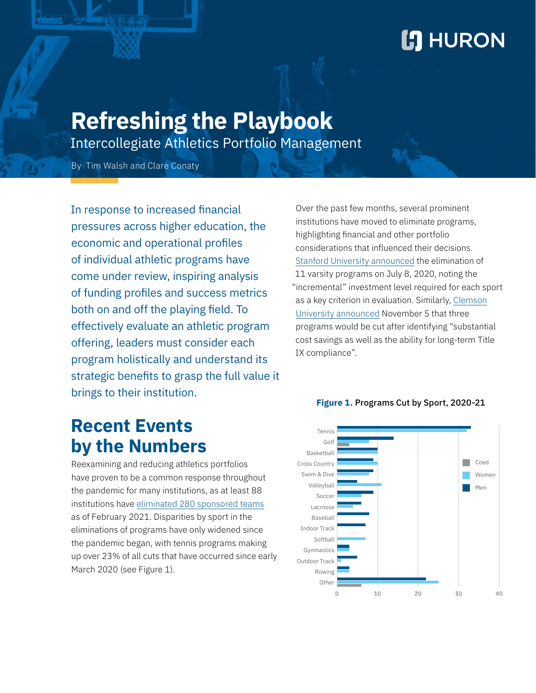# **L'I** HURON

# **Refreshing the Playbook**

Intercollegiate Athletics Portfolio Management

By Tim Walsh and Clare Conaty

In response to increased financial pressures across higher education, the economic and operational profiles of individual athletic programs have come under review, inspiring analysis of funding profiles and success metrics both on and off the playing field. To effectively evaluate an athletic program offering, leaders must consider each program holistically and understand its strategic benefits to grasp the full value it brings to their institution.

## **Recent Events by the Numbers**

Reexamining and reducing athletics portfolios have proven to be a common response throughout the pandemic for many institutions, as at least 88 institutions have [eliminated 280 sponsored teams](http://almanac.mattalkonline.com/covid-19-era-dropped-sports/) as of February 2021. Disparities by sport in the eliminations of programs have only widened since the pandemic began, with tennis programs making up over 23% of all cuts that have occurred since early March 2020 (see Figure 1).

Over the past few months, several prominent institutions have moved to eliminate programs, highlighting financial and other portfolio considerations that influenced their decisions. [Stanford University announced](https://news.stanford.edu/2020/07/08/athletics/) the elimination of 11 varsity programs on July 8, 2020, noting the "incremental" investment level required for each sport as a key criterion in evaluation. Similarly, [Clemson](https://clemsontigers.com/letter-from-dan-radakovich-regarding-mens-track-and-field-and-cross-country/) [University announced](https://clemsontigers.com/letter-from-dan-radakovich-regarding-mens-track-and-field-and-cross-country/) November 5 that three programs would be cut after identifying "substantial cost savings as well as the ability for long-term Title IX compliance".



#### **Figure 1.** Programs Cut by Sport, 2020-21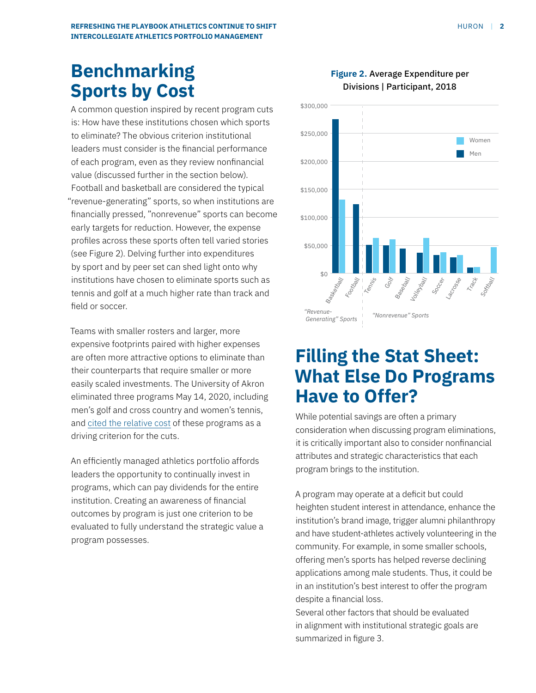## **Benchmarking Sports by Cost**

A common question inspired by recent program cuts is: How have these institutions chosen which sports to eliminate? The obvious criterion institutional leaders must consider is the financial performance of each program, even as they review nonfinancial value (discussed further in the section below). Football and basketball are considered the typical "revenue-generating" sports, so when institutions are financially pressed, "nonrevenue" sports can become early targets for reduction. However, the expense profiles across these sports often tell varied stories (see Figure 2). Delving further into expenditures by sport and by peer set can shed light onto why institutions have chosen to eliminate sports such as tennis and golf at a much higher rate than track and field or soccer.

Teams with smaller rosters and larger, more expensive footprints paired with higher expenses are often more attractive options to eliminate than their counterparts that require smaller or more easily scaled investments. The University of Akron eliminated three programs May 14, 2020, including men's golf and cross country and women's tennis, and [cited the relative cost](https://www.uakron.edu/redesigning-ua/athletics-faq-05-14-20) of these programs as a driving criterion for the cuts.

An efficiently managed athletics portfolio affords leaders the opportunity to continually invest in programs, which can pay dividends for the entire institution. Creating an awareness of financial outcomes by program is just one criterion to be evaluated to fully understand the strategic value a program possesses.

### **Figure 2.** Average Expenditure per Divisions | Participant, 2018



## **Filling the Stat Sheet: What Else Do Programs Have to Offer?**

While potential savings are often a primary consideration when discussing program eliminations, it is critically important also to consider nonfinancial attributes and strategic characteristics that each program brings to the institution.

A program may operate at a deficit but could heighten student interest in attendance, enhance the institution's brand image, trigger alumni philanthropy and have student-athletes actively volunteering in the community. For example, in some smaller schools, offering men's sports has helped reverse declining applications among male students. Thus, it could be in an institution's best interest to offer the program despite a financial loss.

Several other factors that should be evaluated in alignment with institutional strategic goals are summarized in figure 3.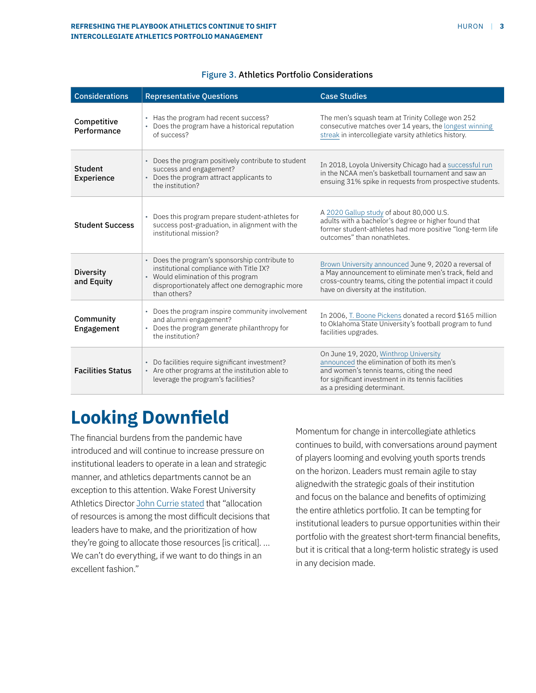| <b>Considerations</b>          | <b>Representative Questions</b>                                                                                                                                                                    | <b>Case Studies</b>                                                                                                                                                                                                     |
|--------------------------------|----------------------------------------------------------------------------------------------------------------------------------------------------------------------------------------------------|-------------------------------------------------------------------------------------------------------------------------------------------------------------------------------------------------------------------------|
| Competitive<br>Performance     | • Has the program had recent success?<br>Does the program have a historical reputation<br>of success?                                                                                              | The men's squash team at Trinity College won 252<br>consecutive matches over 14 years, the longest winning<br>streak in intercollegiate varsity athletics history.                                                      |
| Student<br><b>Experience</b>   | • Does the program positively contribute to student<br>success and engagement?<br>Does the program attract applicants to<br>the institution?                                                       | In 2018, Loyola University Chicago had a successful run<br>in the NCAA men's basketball tournament and saw an<br>ensuing 31% spike in requests from prospective students.                                               |
| <b>Student Success</b>         | • Does this program prepare student-athletes for<br>success post-graduation, in alignment with the<br>institutional mission?                                                                       | A 2020 Gallup study of about 80,000 U.S.<br>adults with a bachelor's degree or higher found that<br>former student-athletes had more positive "long-term life<br>outcomes" than nonathletes.                            |
| <b>Diversity</b><br>and Equity | • Does the program's sponsorship contribute to<br>institutional compliance with Title IX?<br>• Would elimination of this program<br>disproportionately affect one demographic more<br>than others? | Brown University announced June 9, 2020 a reversal of<br>a May announcement to eliminate men's track, field and<br>cross-country teams, citing the potential impact it could<br>have on diversity at the institution.   |
| Community<br>Engagement        | • Does the program inspire community involvement<br>and alumni engagement?<br>• Does the program generate philanthropy for<br>the institution?                                                     | In 2006, T. Boone Pickens donated a record \$165 million<br>to Oklahoma State University's football program to fund<br>facilities upgrades.                                                                             |
| <b>Facilities Status</b>       | • Do facilities require significant investment?<br>• Are other programs at the institution able to<br>leverage the program's facilities?                                                           | On June 19, 2020, Winthrop University<br>announced the elimination of both its men's<br>and women's tennis teams, citing the need<br>for significant investment in its tennis facilities<br>as a presiding determinant. |

#### Figure 3. Athletics Portfolio Considerations

### **Looking Downfield**

The financial burdens from the pandemic have introduced and will continue to increase pressure on institutional leaders to operate in a lean and strategic manner, and athletics departments cannot be an exception to this attention. Wake Forest University Athletics Director [John Currie stated](https://apnews.com/article/460bb54fbe5cec7ce1f8321bf69dc164) that "allocation of resources is among the most difficult decisions that leaders have to make, and the prioritization of how they're going to allocate those resources [is critical]. … We can't do everything, if we want to do things in an excellent fashion."

Momentum for change in intercollegiate athletics continues to build, with conversations around payment of players looming and evolving youth sports trends on the horizon. Leaders must remain agile to stay alignedwith the strategic goals of their institution and focus on the balance and benefits of optimizing the entire athletics portfolio. It can be tempting for institutional leaders to pursue opportunities within their portfolio with the greatest short-term financial benefits, but it is critical that a long-term holistic strategy is used in any decision made.